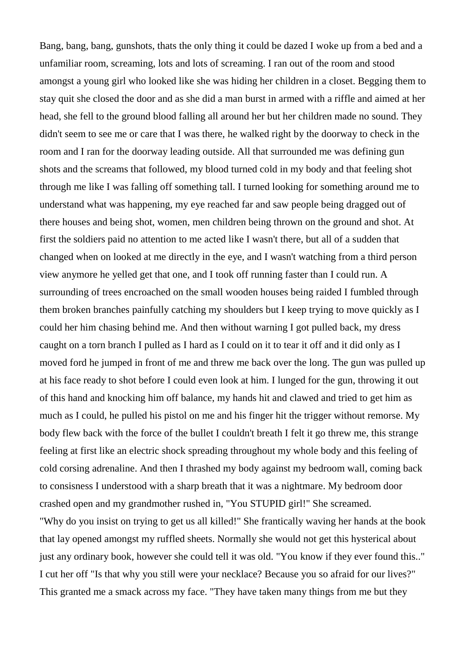Bang, bang, bang, gunshots, thats the only thing it could be dazed I woke up from a bed and a unfamiliar room, screaming, lots and lots of screaming. I ran out of the room and stood amongst a young girl who looked like she was hiding her children in a closet. Begging them to stay quit she closed the door and as she did a man burst in armed with a riffle and aimed at her head, she fell to the ground blood falling all around her but her children made no sound. They didn't seem to see me or care that I was there, he walked right by the doorway to check in the room and I ran for the doorway leading outside. All that surrounded me was defining gun shots and the screams that followed, my blood turned cold in my body and that feeling shot through me like I was falling off something tall. I turned looking for something around me to understand what was happening, my eye reached far and saw people being dragged out of there houses and being shot, women, men children being thrown on the ground and shot. At first the soldiers paid no attention to me acted like I wasn't there, but all of a sudden that changed when on looked at me directly in the eye, and I wasn't watching from a third person view anymore he yelled get that one, and I took off running faster than I could run. A surrounding of trees encroached on the small wooden houses being raided I fumbled through them broken branches painfully catching my shoulders but I keep trying to move quickly as I could her him chasing behind me. And then without warning I got pulled back, my dress caught on a torn branch I pulled as I hard as I could on it to tear it off and it did only as I moved ford he jumped in front of me and threw me back over the long. The gun was pulled up at his face ready to shot before I could even look at him. I lunged for the gun, throwing it out of this hand and knocking him off balance, my hands hit and clawed and tried to get him as much as I could, he pulled his pistol on me and his finger hit the trigger without remorse. My body flew back with the force of the bullet I couldn't breath I felt it go threw me, this strange feeling at first like an electric shock spreading throughout my whole body and this feeling of cold corsing adrenaline. And then I thrashed my body against my bedroom wall, coming back to consisness I understood with a sharp breath that it was a nightmare. My bedroom door crashed open and my grandmother rushed in, "You STUPID girl!" She screamed. "Why do you insist on trying to get us all killed!" She frantically waving her hands at the book that lay opened amongst my ruffled sheets. Normally she would not get this hysterical about just any ordinary book, however she could tell it was old. "You know if they ever found this.." I cut her off "Is that why you still were your necklace? Because you so afraid for our lives?" This granted me a smack across my face. "They have taken many things from me but they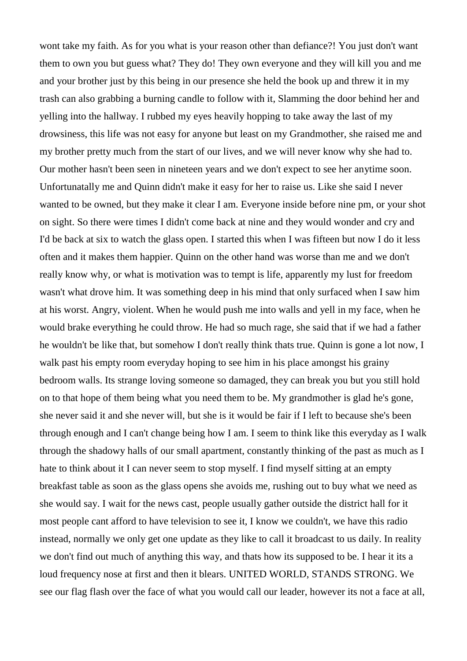wont take my faith. As for you what is your reason other than defiance?! You just don't want them to own you but guess what? They do! They own everyone and they will kill you and me and your brother just by this being in our presence she held the book up and threw it in my trash can also grabbing a burning candle to follow with it, Slamming the door behind her and yelling into the hallway. I rubbed my eyes heavily hopping to take away the last of my drowsiness, this life was not easy for anyone but least on my Grandmother, she raised me and my brother pretty much from the start of our lives, and we will never know why she had to. Our mother hasn't been seen in nineteen years and we don't expect to see her anytime soon. Unfortunatally me and Quinn didn't make it easy for her to raise us. Like she said I never wanted to be owned, but they make it clear I am. Everyone inside before nine pm, or your shot on sight. So there were times I didn't come back at nine and they would wonder and cry and I'd be back at six to watch the glass open. I started this when I was fifteen but now I do it less often and it makes them happier. Quinn on the other hand was worse than me and we don't really know why, or what is motivation was to tempt is life, apparently my lust for freedom wasn't what drove him. It was something deep in his mind that only surfaced when I saw him at his worst. Angry, violent. When he would push me into walls and yell in my face, when he would brake everything he could throw. He had so much rage, she said that if we had a father he wouldn't be like that, but somehow I don't really think thats true. Quinn is gone a lot now, I walk past his empty room everyday hoping to see him in his place amongst his grainy bedroom walls. Its strange loving someone so damaged, they can break you but you still hold on to that hope of them being what you need them to be. My grandmother is glad he's gone, she never said it and she never will, but she is it would be fair if I left to because she's been through enough and I can't change being how I am. I seem to think like this everyday as I walk through the shadowy halls of our small apartment, constantly thinking of the past as much as I hate to think about it I can never seem to stop myself. I find myself sitting at an empty breakfast table as soon as the glass opens she avoids me, rushing out to buy what we need as she would say. I wait for the news cast, people usually gather outside the district hall for it most people cant afford to have television to see it, I know we couldn't, we have this radio instead, normally we only get one update as they like to call it broadcast to us daily. In reality we don't find out much of anything this way, and thats how its supposed to be. I hear it its a loud frequency nose at first and then it blears. UNITED WORLD, STANDS STRONG. We see our flag flash over the face of what you would call our leader, however its not a face at all,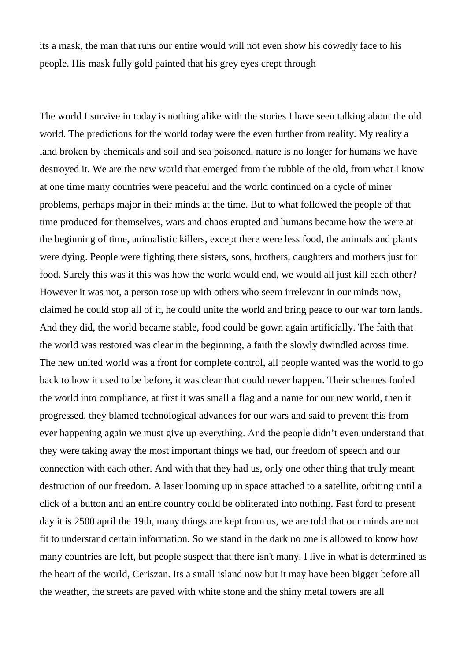its a mask, the man that runs our entire would will not even show his cowedly face to his people. His mask fully gold painted that his grey eyes crept through

The world I survive in today is nothing alike with the stories I have seen talking about the old world. The predictions for the world today were the even further from reality. My reality a land broken by chemicals and soil and sea poisoned, nature is no longer for humans we have destroyed it. We are the new world that emerged from the rubble of the old, from what I know at one time many countries were peaceful and the world continued on a cycle of miner problems, perhaps major in their minds at the time. But to what followed the people of that time produced for themselves, wars and chaos erupted and humans became how the were at the beginning of time, animalistic killers, except there were less food, the animals and plants were dying. People were fighting there sisters, sons, brothers, daughters and mothers just for food. Surely this was it this was how the world would end, we would all just kill each other? However it was not, a person rose up with others who seem irrelevant in our minds now, claimed he could stop all of it, he could unite the world and bring peace to our war torn lands. And they did, the world became stable, food could be gown again artificially. The faith that the world was restored was clear in the beginning, a faith the slowly dwindled across time. The new united world was a front for complete control, all people wanted was the world to go back to how it used to be before, it was clear that could never happen. Their schemes fooled the world into compliance, at first it was small a flag and a name for our new world, then it progressed, they blamed technological advances for our wars and said to prevent this from ever happening again we must give up everything. And the people didn't even understand that they were taking away the most important things we had, our freedom of speech and our connection with each other. And with that they had us, only one other thing that truly meant destruction of our freedom. A laser looming up in space attached to a satellite, orbiting until a click of a button and an entire country could be obliterated into nothing. Fast ford to present day it is 2500 april the 19th, many things are kept from us, we are told that our minds are not fit to understand certain information. So we stand in the dark no one is allowed to know how many countries are left, but people suspect that there isn't many. I live in what is determined as the heart of the world, Ceriszan. Its a small island now but it may have been bigger before all the weather, the streets are paved with white stone and the shiny metal towers are all